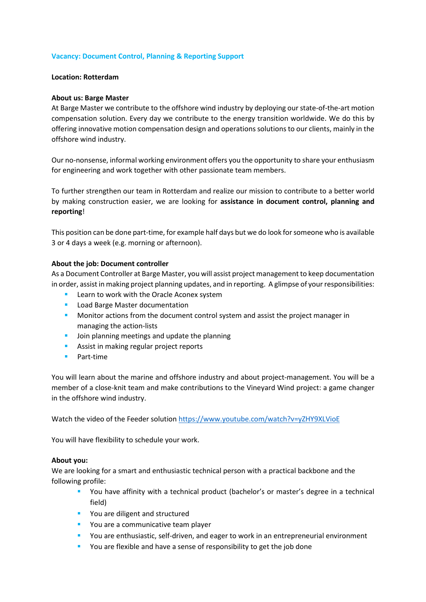# **Vacancy: Document Control, Planning & Reporting Support**

### **Location: Rotterdam**

### **About us: Barge Master**

At Barge Master we contribute to the offshore wind industry by deploying our state-of-the-art motion compensation solution. Every day we contribute to the energy transition worldwide. We do this by offering innovative motion compensation design and operations solutions to our clients, mainly in the offshore wind industry.

Our no-nonsense, informal working environment offers you the opportunity to share your enthusiasm for engineering and work together with other passionate team members.

To further strengthen our team in Rotterdam and realize our mission to contribute to a better world by making construction easier, we are looking for **assistance in document control, planning and reporting**!

This position can be done part-time, for example half days but we do look for someone who is available 3 or 4 days a week (e.g. morning or afternoon).

#### **About the job: Document controller**

As a Document Controller at Barge Master, you will assist project management to keep documentation in order, assist in making project planning updates, and in reporting. A glimpse of your responsibilities:

- **Learn to work with the Oracle Aconex system**
- Load Barge Master documentation
- **Monitor actions from the document control system and assist the project manager in** managing the action-lists
- **Join planning meetings and update the planning**
- Assist in making regular project reports
- **Part-time**

You will learn about the marine and offshore industry and about project-management. You will be a member of a close-knit team and make contributions to the Vineyard Wind project: a game changer in the offshore wind industry.

Watch the video of the Feeder solution https://www.youtube.com/watch?v=vZHY9XLVioE

You will have flexibility to schedule your work.

### **About you:**

We are looking for a smart and enthusiastic technical person with a practical backbone and the following profile:

- You have affinity with a technical product (bachelor's or master's degree in a technical field)
- **Part 20 You are diligent and structured**
- **•** You are a communicative team player
- You are enthusiastic, self-driven, and eager to work in an entrepreneurial environment
- **•** You are flexible and have a sense of responsibility to get the job done